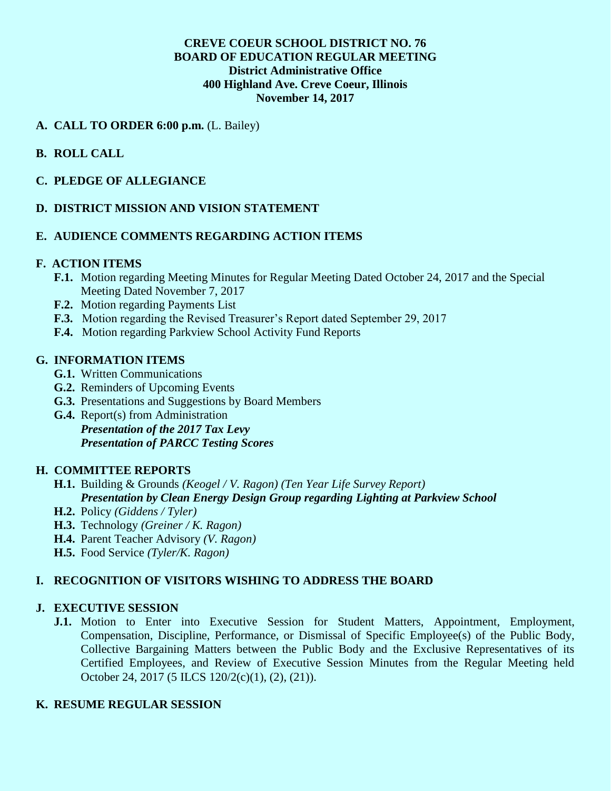## **CREVE COEUR SCHOOL DISTRICT NO. 76 BOARD OF EDUCATION REGULAR MEETING District Administrative Office 400 Highland Ave. Creve Coeur, Illinois November 14, 2017**

## **A. CALL TO ORDER 6:00 p.m.** (L. Bailey)

# **B. ROLL CALL**

### **C. PLEDGE OF ALLEGIANCE**

### **D. DISTRICT MISSION AND VISION STATEMENT**

### **E. AUDIENCE COMMENTS REGARDING ACTION ITEMS**

#### **F. ACTION ITEMS**

- **F.1.** Motion regarding Meeting Minutes for Regular Meeting Dated October 24, 2017 and the Special Meeting Dated November 7, 2017
- **F.2.** Motion regarding Payments List
- **F.3.** Motion regarding the Revised Treasurer's Report dated September 29, 2017
- **F.4.** Motion regarding Parkview School Activity Fund Reports

### **G. INFORMATION ITEMS**

- **G.1.** Written Communications
- **G.2.** Reminders of Upcoming Events
- **G.3.** Presentations and Suggestions by Board Members
- **G.4.** Report(s) from Administration *Presentation of the 2017 Tax Levy Presentation of PARCC Testing Scores*

# **H. COMMITTEE REPORTS**

- **H.1.** Building & Grounds *(Keogel / V. Ragon) (Ten Year Life Survey Report) Presentation by Clean Energy Design Group regarding Lighting at Parkview School*
- **H.2.** Policy *(Giddens / Tyler)*
- **H.3.** Technology *(Greiner / K. Ragon)*
- **H.4.** Parent Teacher Advisory *(V. Ragon)*
- **H.5.** Food Service *(Tyler/K. Ragon)*

#### **I. RECOGNITION OF VISITORS WISHING TO ADDRESS THE BOARD**

#### **J. EXECUTIVE SESSION**

**J.1.** Motion to Enter into Executive Session for Student Matters, Appointment, Employment, Compensation, Discipline, Performance, or Dismissal of Specific Employee(s) of the Public Body, Collective Bargaining Matters between the Public Body and the Exclusive Representatives of its Certified Employees, and Review of Executive Session Minutes from the Regular Meeting held October 24, 2017 (5 ILCS 120/2(c)(1), (2), (21)).

# **K. RESUME REGULAR SESSION**